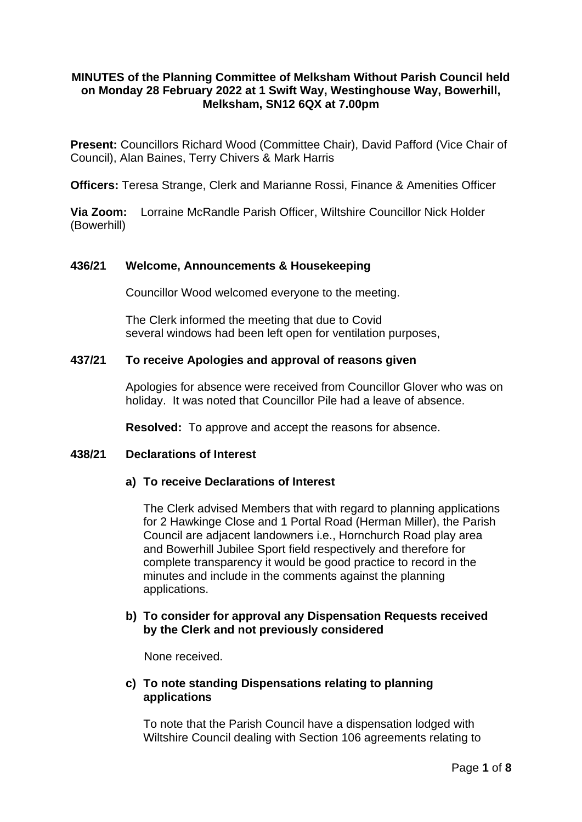# **MINUTES of the Planning Committee of Melksham Without Parish Council held on Monday 28 February 2022 at 1 Swift Way, Westinghouse Way, Bowerhill, Melksham, SN12 6QX at 7.00pm**

**Present:** Councillors Richard Wood (Committee Chair), David Pafford (Vice Chair of Council), Alan Baines, Terry Chivers & Mark Harris

**Officers:** Teresa Strange, Clerk and Marianne Rossi, Finance & Amenities Officer

**Via Zoom:** Lorraine McRandle Parish Officer, Wiltshire Councillor Nick Holder (Bowerhill)

## **436/21 Welcome, Announcements & Housekeeping**

Councillor Wood welcomed everyone to the meeting.

The Clerk informed the meeting that due to Covid several windows had been left open for ventilation purposes,

#### **437/21 To receive Apologies and approval of reasons given**

Apologies for absence were received from Councillor Glover who was on holiday. It was noted that Councillor Pile had a leave of absence.

**Resolved:** To approve and accept the reasons for absence.

## **438/21 Declarations of Interest**

#### **a) To receive Declarations of Interest**

The Clerk advised Members that with regard to planning applications for 2 Hawkinge Close and 1 Portal Road (Herman Miller), the Parish Council are adjacent landowners i.e., Hornchurch Road play area and Bowerhill Jubilee Sport field respectively and therefore for complete transparency it would be good practice to record in the minutes and include in the comments against the planning applications.

## **b) To consider for approval any Dispensation Requests received by the Clerk and not previously considered**

None received.

## **c) To note standing Dispensations relating to planning applications**

To note that the Parish Council have a dispensation lodged with Wiltshire Council dealing with Section 106 agreements relating to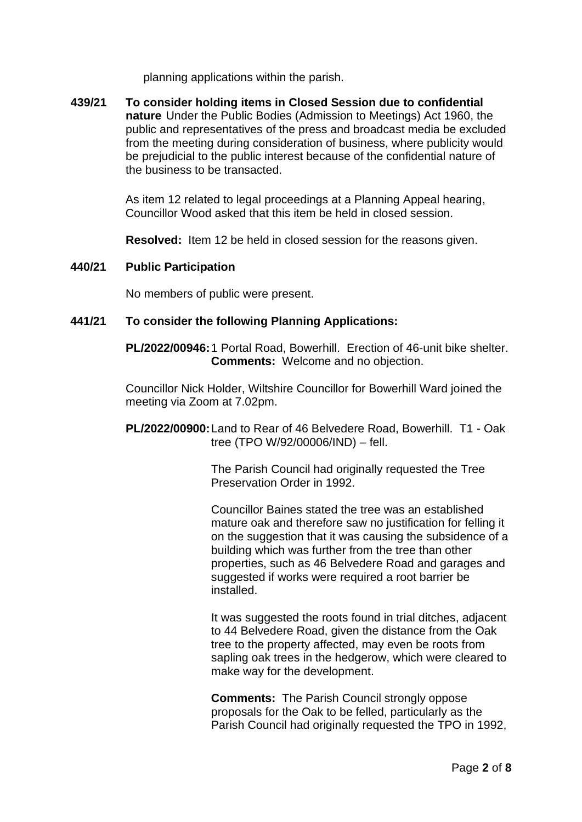planning applications within the parish.

**439/21 To consider holding items in Closed Session due to confidential nature** Under the Public Bodies (Admission to Meetings) Act 1960, the public and representatives of the press and broadcast media be excluded from the meeting during consideration of business, where publicity would be prejudicial to the public interest because of the confidential nature of the business to be transacted.

> As item 12 related to legal proceedings at a Planning Appeal hearing, Councillor Wood asked that this item be held in closed session.

**Resolved:** Item 12 be held in closed session for the reasons given.

#### **440/21 Public Participation**

No members of public were present.

# **441/21 To consider the following Planning Applications:**

**PL/2022/00946:**1 Portal Road, Bowerhill. Erection of 46-unit bike shelter. **Comments:** Welcome and no objection.

Councillor Nick Holder, Wiltshire Councillor for Bowerhill Ward joined the meeting via Zoom at 7.02pm.

**PL/2022/00900:**Land to Rear of 46 Belvedere Road, Bowerhill. T1 - Oak tree (TPO W/92/00006/IND) – fell.

> The Parish Council had originally requested the Tree Preservation Order in 1992.

Councillor Baines stated the tree was an established mature oak and therefore saw no justification for felling it on the suggestion that it was causing the subsidence of a building which was further from the tree than other properties, such as 46 Belvedere Road and garages and suggested if works were required a root barrier be installed.

It was suggested the roots found in trial ditches, adjacent to 44 Belvedere Road, given the distance from the Oak tree to the property affected, may even be roots from sapling oak trees in the hedgerow, which were cleared to make way for the development.

**Comments:** The Parish Council strongly oppose proposals for the Oak to be felled, particularly as the Parish Council had originally requested the TPO in 1992,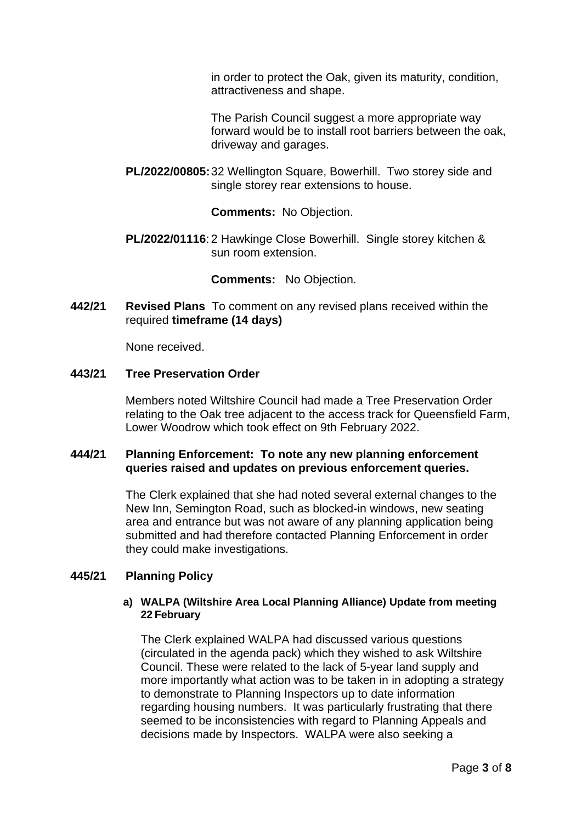in order to protect the Oak, given its maturity, condition, attractiveness and shape.

The Parish Council suggest a more appropriate way forward would be to install root barriers between the oak, driveway and garages.

**PL/2022/00805:**32 Wellington Square, Bowerhill. Two storey side and single storey rear extensions to house.

**Comments:** No Objection.

**PL/2022/01116**: 2 Hawkinge Close Bowerhill. Single storey kitchen & sun room extension.

**Comments:** No Objection.

**442/21 Revised Plans** To comment on any revised plans received within the required **timeframe (14 days)**

None received.

## **443/21 Tree Preservation Order**

Members noted Wiltshire Council had made a Tree Preservation Order relating to the Oak tree adjacent to the access track for Queensfield Farm, Lower Woodrow which took effect on 9th February 2022.

## **444/21 Planning Enforcement: To note any new planning enforcement queries raised and updates on previous enforcement queries.**

The Clerk explained that she had noted several external changes to the New Inn, Semington Road, such as blocked-in windows, new seating area and entrance but was not aware of any planning application being submitted and had therefore contacted Planning Enforcement in order they could make investigations.

# **445/21 Planning Policy**

#### **a) WALPA (Wiltshire Area Local Planning Alliance) Update from meeting 22 February**

The Clerk explained WALPA had discussed various questions (circulated in the agenda pack) which they wished to ask Wiltshire Council. These were related to the lack of 5-year land supply and more importantly what action was to be taken in in adopting a strategy to demonstrate to Planning Inspectors up to date information regarding housing numbers. It was particularly frustrating that there seemed to be inconsistencies with regard to Planning Appeals and decisions made by Inspectors. WALPA were also seeking a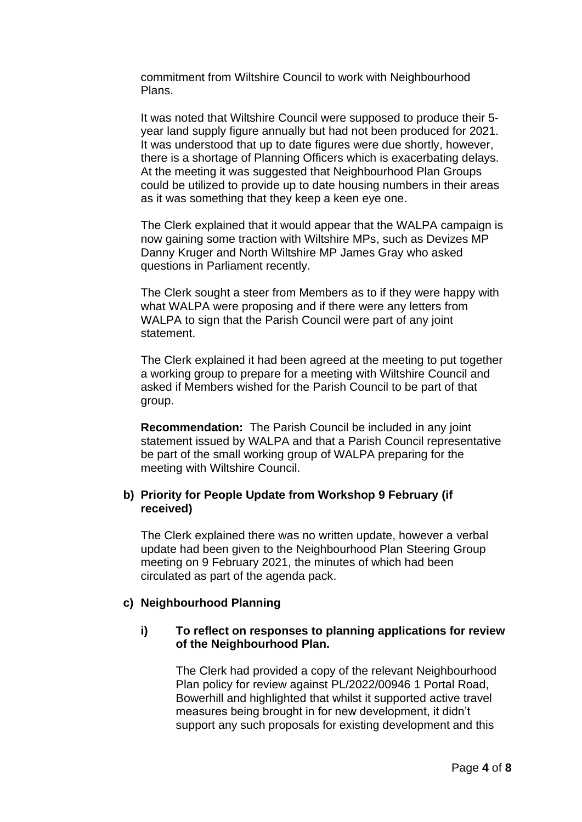commitment from Wiltshire Council to work with Neighbourhood Plans.

It was noted that Wiltshire Council were supposed to produce their 5 year land supply figure annually but had not been produced for 2021. It was understood that up to date figures were due shortly, however, there is a shortage of Planning Officers which is exacerbating delays. At the meeting it was suggested that Neighbourhood Plan Groups could be utilized to provide up to date housing numbers in their areas as it was something that they keep a keen eye one.

The Clerk explained that it would appear that the WALPA campaign is now gaining some traction with Wiltshire MPs, such as Devizes MP Danny Kruger and North Wiltshire MP James Gray who asked questions in Parliament recently.

The Clerk sought a steer from Members as to if they were happy with what WALPA were proposing and if there were any letters from WALPA to sign that the Parish Council were part of any joint statement.

The Clerk explained it had been agreed at the meeting to put together a working group to prepare for a meeting with Wiltshire Council and asked if Members wished for the Parish Council to be part of that group.

**Recommendation:** The Parish Council be included in any joint statement issued by WALPA and that a Parish Council representative be part of the small working group of WALPA preparing for the meeting with Wiltshire Council.

# **b) Priority for People Update from Workshop 9 February (if received)**

The Clerk explained there was no written update, however a verbal update had been given to the Neighbourhood Plan Steering Group meeting on 9 February 2021, the minutes of which had been circulated as part of the agenda pack.

#### **c) Neighbourhood Planning**

## **i) To reflect on responses to planning applications for review of the Neighbourhood Plan.**

The Clerk had provided a copy of the relevant Neighbourhood Plan policy for review against PL/2022/00946 1 Portal Road, Bowerhill and highlighted that whilst it supported active travel measures being brought in for new development, it didn't support any such proposals for existing development and this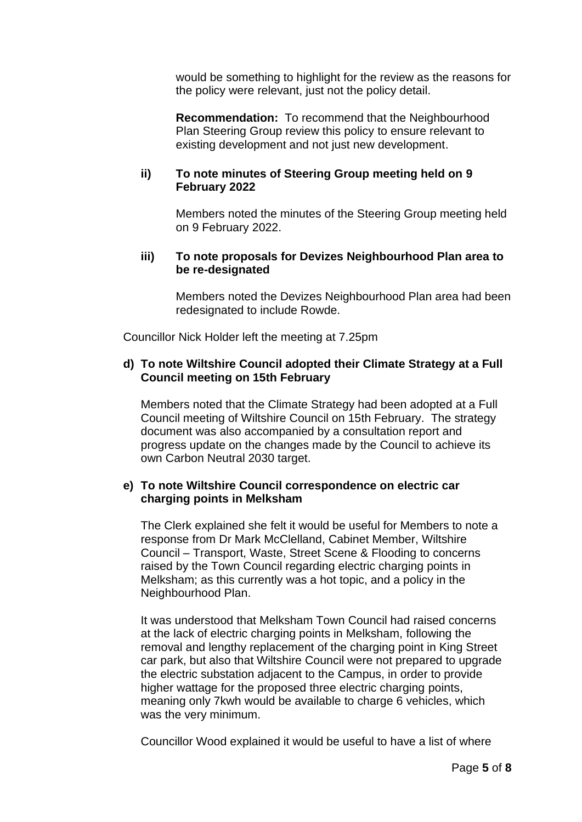would be something to highlight for the review as the reasons for the policy were relevant, just not the policy detail.

**Recommendation:** To recommend that the Neighbourhood Plan Steering Group review this policy to ensure relevant to existing development and not just new development.

#### **ii) To note minutes of Steering Group meeting held on 9 February 2022**

Members noted the minutes of the Steering Group meeting held on 9 February 2022.

#### **iii) To note proposals for Devizes Neighbourhood Plan area to be re-designated**

Members noted the Devizes Neighbourhood Plan area had been redesignated to include Rowde.

Councillor Nick Holder left the meeting at 7.25pm

# **d) To note Wiltshire Council adopted their Climate Strategy at a Full Council meeting on 15th February**

Members noted that the Climate Strategy had been adopted at a Full Council meeting of Wiltshire Council on 15th February. The strategy document was also accompanied by a consultation report and progress update on the changes made by the Council to achieve its own Carbon Neutral 2030 target.

#### **e) To note Wiltshire Council correspondence on electric car charging points in Melksham**

The Clerk explained she felt it would be useful for Members to note a response from Dr Mark McClelland, Cabinet Member, Wiltshire Council – Transport, Waste, Street Scene & Flooding to concerns raised by the Town Council regarding electric charging points in Melksham; as this currently was a hot topic, and a policy in the Neighbourhood Plan.

It was understood that Melksham Town Council had raised concerns at the lack of electric charging points in Melksham, following the removal and lengthy replacement of the charging point in King Street car park, but also that Wiltshire Council were not prepared to upgrade the electric substation adjacent to the Campus, in order to provide higher wattage for the proposed three electric charging points, meaning only 7kwh would be available to charge 6 vehicles, which was the very minimum.

Councillor Wood explained it would be useful to have a list of where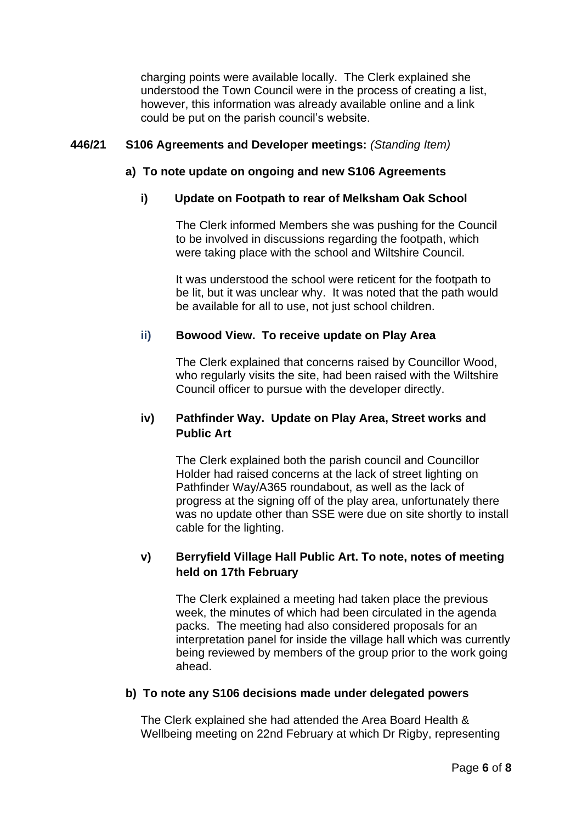charging points were available locally. The Clerk explained she understood the Town Council were in the process of creating a list, however, this information was already available online and a link could be put on the parish council's website.

## **446/21 S106 Agreements and Developer meetings:** *(Standing Item)*

## **a) To note update on ongoing and new S106 Agreements**

## **i) Update on Footpath to rear of Melksham Oak School**

The Clerk informed Members she was pushing for the Council to be involved in discussions regarding the footpath, which were taking place with the school and Wiltshire Council.

It was understood the school were reticent for the footpath to be lit, but it was unclear why. It was noted that the path would be available for all to use, not just school children.

# **ii) Bowood View. To receive update on Play Area**

The Clerk explained that concerns raised by Councillor Wood, who regularly visits the site, had been raised with the Wiltshire Council officer to pursue with the developer directly.

# **iv) Pathfinder Way. Update on Play Area, Street works and Public Art**

The Clerk explained both the parish council and Councillor Holder had raised concerns at the lack of street lighting on Pathfinder Way/A365 roundabout, as well as the lack of progress at the signing off of the play area, unfortunately there was no update other than SSE were due on site shortly to install cable for the lighting.

# **v) Berryfield Village Hall Public Art. To note, notes of meeting held on 17th February**

The Clerk explained a meeting had taken place the previous week, the minutes of which had been circulated in the agenda packs. The meeting had also considered proposals for an interpretation panel for inside the village hall which was currently being reviewed by members of the group prior to the work going ahead.

# **b) To note any S106 decisions made under delegated powers**

The Clerk explained she had attended the Area Board Health & Wellbeing meeting on 22nd February at which Dr Rigby, representing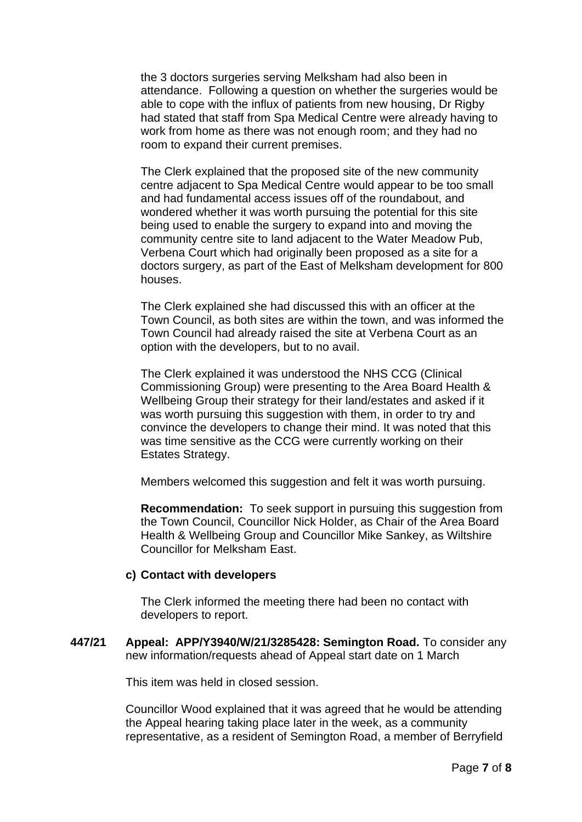the 3 doctors surgeries serving Melksham had also been in attendance. Following a question on whether the surgeries would be able to cope with the influx of patients from new housing, Dr Rigby had stated that staff from Spa Medical Centre were already having to work from home as there was not enough room; and they had no room to expand their current premises.

The Clerk explained that the proposed site of the new community centre adjacent to Spa Medical Centre would appear to be too small and had fundamental access issues off of the roundabout, and wondered whether it was worth pursuing the potential for this site being used to enable the surgery to expand into and moving the community centre site to land adjacent to the Water Meadow Pub, Verbena Court which had originally been proposed as a site for a doctors surgery, as part of the East of Melksham development for 800 houses.

The Clerk explained she had discussed this with an officer at the Town Council, as both sites are within the town, and was informed the Town Council had already raised the site at Verbena Court as an option with the developers, but to no avail.

The Clerk explained it was understood the NHS CCG (Clinical Commissioning Group) were presenting to the Area Board Health & Wellbeing Group their strategy for their land/estates and asked if it was worth pursuing this suggestion with them, in order to try and convince the developers to change their mind. It was noted that this was time sensitive as the CCG were currently working on their Estates Strategy.

Members welcomed this suggestion and felt it was worth pursuing.

**Recommendation:** To seek support in pursuing this suggestion from the Town Council, Councillor Nick Holder, as Chair of the Area Board Health & Wellbeing Group and Councillor Mike Sankey, as Wiltshire Councillor for Melksham East.

#### **c) Contact with developers**

The Clerk informed the meeting there had been no contact with developers to report.

**447/21 Appeal: APP/Y3940/W/21/3285428: Semington Road.** To consider any new information/requests ahead of Appeal start date on 1 March

This item was held in closed session.

Councillor Wood explained that it was agreed that he would be attending the Appeal hearing taking place later in the week, as a community representative, as a resident of Semington Road, a member of Berryfield